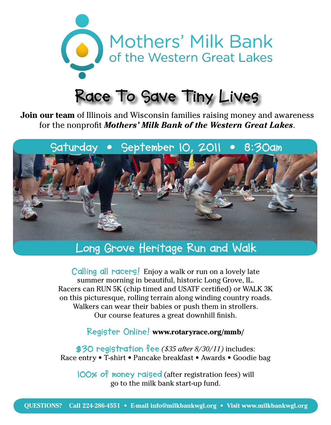

# **Race To Save Tiny Lives**

**Join our team** of Illinois and Wisconsin families raising money and awareness for the nonprofit *Mothers' Milk Bank of the Western Great Lakes*.



# **Long Grove Heritage Run and Walk**

**Calling all racers!** Enjoy a walk or run on a lovely late summer morning in beautiful, historic Long Grove, IL. Racers can RUN 5K (chip timed and USATF certified) or WALK 3K on this picturesque, rolling terrain along winding country roads. Walkers can wear their babies or push them in strollers. Our course features a great downhill finish.

#### **Register Online! www.rotaryrace.org/mmb/**

**\$30 registration fee** *(\$35 after 8/30/11)* includes: Race entry • T-shirt • Pancake breakfast • Awards • Goodie bag

**100% of money raised** (after registration fees) will go to the milk bank start-up fund.